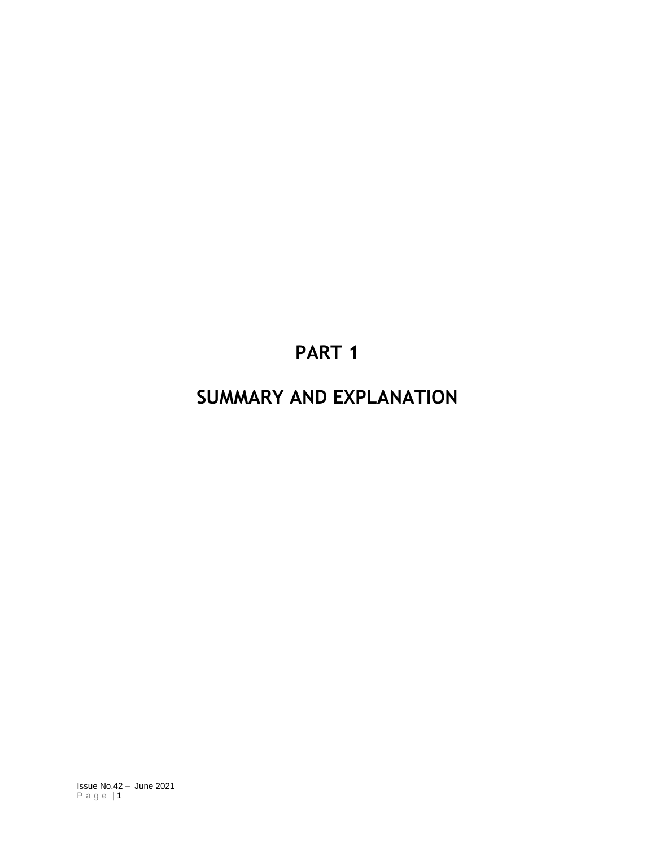# **PART 1**

# **SUMMARY AND EXPLANATION**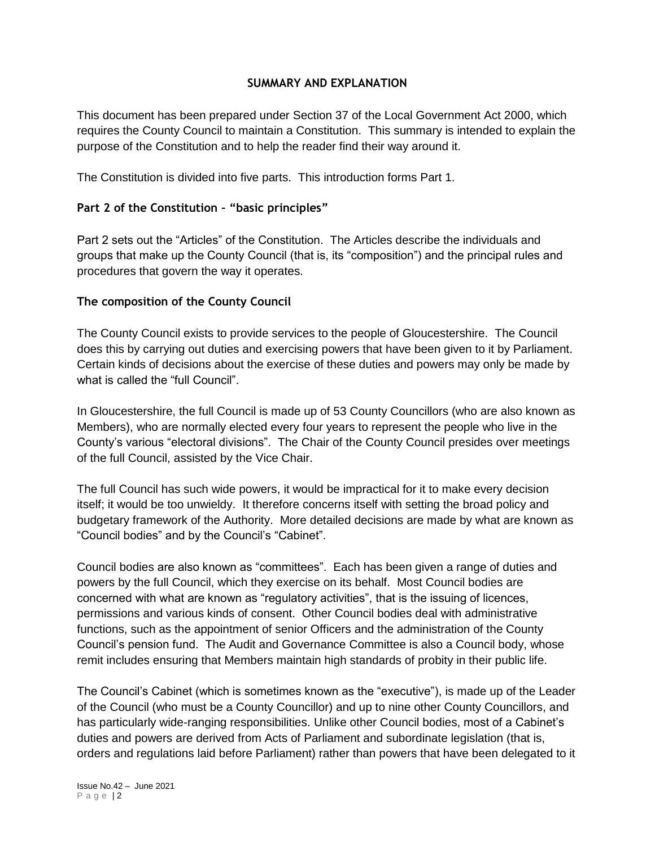#### **SUMMARY AND EXPLANATION**

This document has been prepared under Section 37 of the Local Government Act 2000, which requires the County Council to maintain a Constitution. This summary is intended to explain the purpose of the Constitution and to help the reader find their way around it.

The Constitution is divided into five parts. This introduction forms Part 1.

# **Part 2 of the Constitution – "basic principles"**

Part 2 sets out the "Articles" of the Constitution. The Articles describe the individuals and groups that make up the County Council (that is, its "composition") and the principal rules and procedures that govern the way it operates.

### **The composition of the County Council**

The County Council exists to provide services to the people of Gloucestershire. The Council does this by carrying out duties and exercising powers that have been given to it by Parliament. Certain kinds of decisions about the exercise of these duties and powers may only be made by what is called the "full Council".

In Gloucestershire, the full Council is made up of 53 County Councillors (who are also known as Members), who are normally elected every four years to represent the people who live in the County's various "electoral divisions". The Chair of the County Council presides over meetings of the full Council, assisted by the Vice Chair.

The full Council has such wide powers, it would be impractical for it to make every decision itself; it would be too unwieldy. It therefore concerns itself with setting the broad policy and budgetary framework of the Authority. More detailed decisions are made by what are known as "Council bodies" and by the Council's "Cabinet".

Council bodies are also known as "committees". Each has been given a range of duties and powers by the full Council, which they exercise on its behalf. Most Council bodies are concerned with what are known as "regulatory activities", that is the issuing of licences, permissions and various kinds of consent. Other Council bodies deal with administrative functions, such as the appointment of senior Officers and the administration of the County Council's pension fund. The Audit and Governance Committee is also a Council body, whose remit includes ensuring that Members maintain high standards of probity in their public life.

The Council's Cabinet (which is sometimes known as the "executive"), is made up of the Leader of the Council (who must be a County Councillor) and up to nine other County Councillors, and has particularly wide-ranging responsibilities. Unlike other Council bodies, most of a Cabinet's duties and powers are derived from Acts of Parliament and subordinate legislation (that is, orders and regulations laid before Parliament) rather than powers that have been delegated to it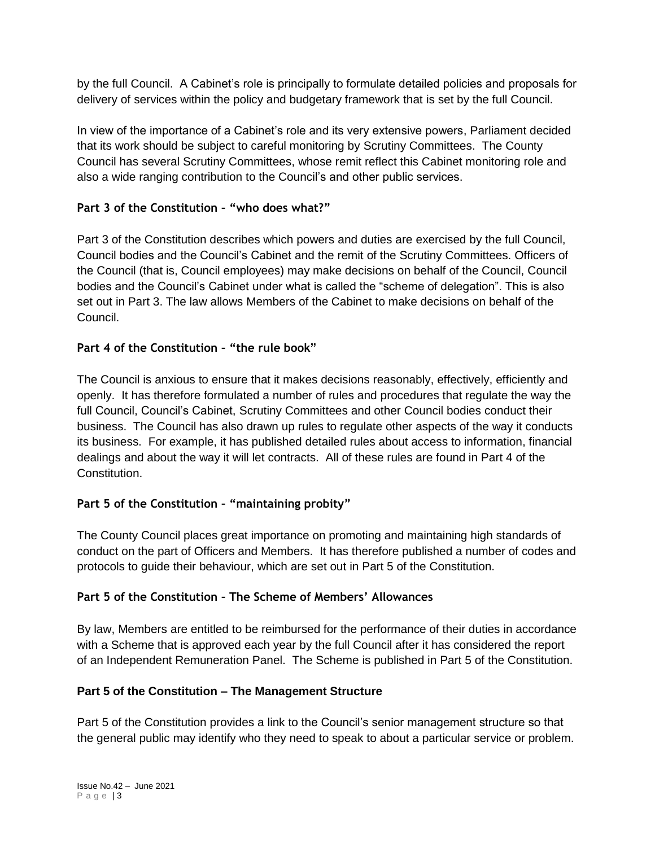by the full Council. A Cabinet's role is principally to formulate detailed policies and proposals for delivery of services within the policy and budgetary framework that is set by the full Council.

In view of the importance of a Cabinet's role and its very extensive powers, Parliament decided that its work should be subject to careful monitoring by Scrutiny Committees. The County Council has several Scrutiny Committees, whose remit reflect this Cabinet monitoring role and also a wide ranging contribution to the Council's and other public services.

# **Part 3 of the Constitution – "who does what?"**

Part 3 of the Constitution describes which powers and duties are exercised by the full Council, Council bodies and the Council's Cabinet and the remit of the Scrutiny Committees. Officers of the Council (that is, Council employees) may make decisions on behalf of the Council, Council bodies and the Council's Cabinet under what is called the "scheme of delegation". This is also set out in Part 3. The law allows Members of the Cabinet to make decisions on behalf of the Council.

# **Part 4 of the Constitution – "the rule book"**

The Council is anxious to ensure that it makes decisions reasonably, effectively, efficiently and openly. It has therefore formulated a number of rules and procedures that regulate the way the full Council, Council's Cabinet, Scrutiny Committees and other Council bodies conduct their business. The Council has also drawn up rules to regulate other aspects of the way it conducts its business. For example, it has published detailed rules about access to information, financial dealings and about the way it will let contracts. All of these rules are found in Part 4 of the **Constitution** 

# **Part 5 of the Constitution – "maintaining probity"**

The County Council places great importance on promoting and maintaining high standards of conduct on the part of Officers and Members. It has therefore published a number of codes and protocols to guide their behaviour, which are set out in Part 5 of the Constitution.

# **Part 5 of the Constitution – The Scheme of Members' Allowances**

By law, Members are entitled to be reimbursed for the performance of their duties in accordance with a Scheme that is approved each year by the full Council after it has considered the report of an Independent Remuneration Panel. The Scheme is published in Part 5 of the Constitution.

# **Part 5 of the Constitution – The Management Structure**

Part 5 of the Constitution provides a link to the Council's senior management structure so that the general public may identify who they need to speak to about a particular service or problem.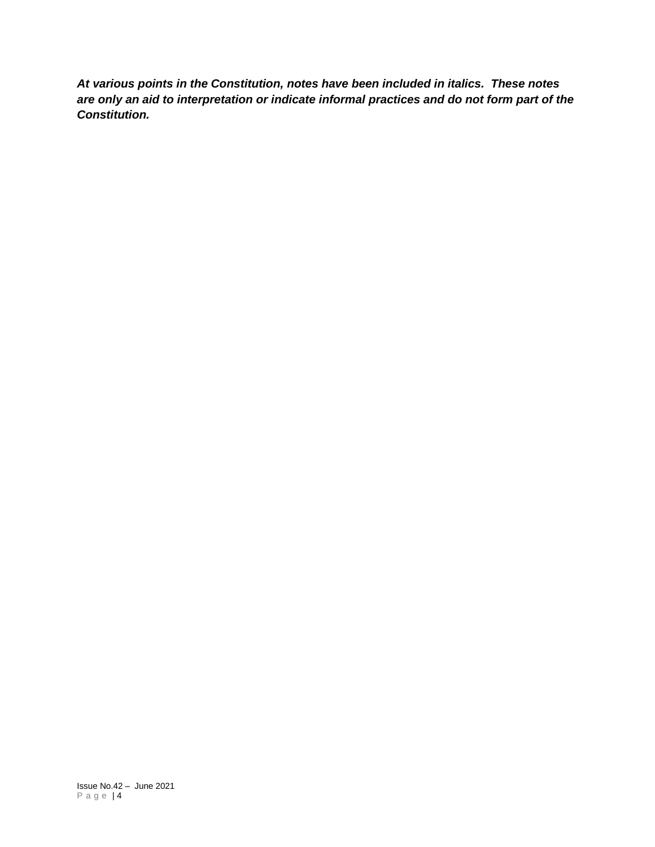*At various points in the Constitution, notes have been included in italics. These notes are only an aid to interpretation or indicate informal practices and do not form part of the Constitution.*